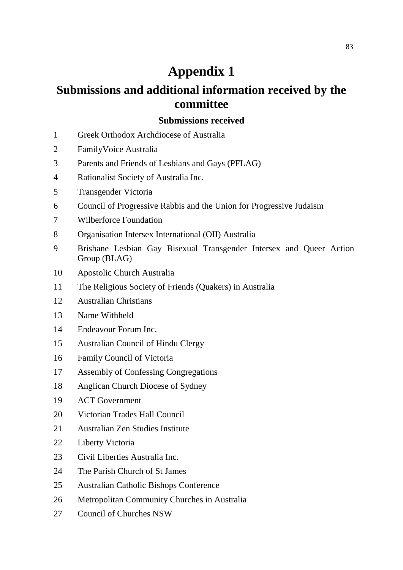# **Appendix 1**

# **Submissions and additional information received by the committee**

#### **Submissions received**

- Greek Orthodox Archdiocese of Australia
- FamilyVoice Australia
- Parents and Friends of Lesbians and Gays (PFLAG)
- Rationalist Society of Australia Inc.
- Transgender Victoria
- Council of Progressive Rabbis and the Union for Progressive Judaism
- Wilberforce Foundation
- Organisation Intersex International (OII) Australia
- Brisbane Lesbian Gay Bisexual Transgender Intersex and Queer Action Group (BLAG)
- Apostolic Church Australia
- The Religious Society of Friends (Quakers) in Australia
- Australian Christians
- Name Withheld
- Endeavour Forum Inc.
- Australian Council of Hindu Clergy
- Family Council of Victoria
- Assembly of Confessing Congregations
- Anglican Church Diocese of Sydney
- ACT Government
- 20 Victorian Trades Hall Council
- Australian Zen Studies Institute
- Liberty Victoria
- Civil Liberties Australia Inc.
- The Parish Church of St James
- Australian Catholic Bishops Conference
- Metropolitan Community Churches in Australia
- Council of Churches NSW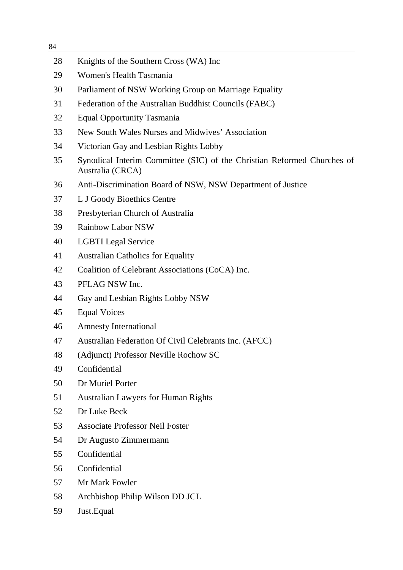| 84 |                                                                                             |
|----|---------------------------------------------------------------------------------------------|
| 28 | Knights of the Southern Cross (WA) Inc                                                      |
| 29 | Women's Health Tasmania                                                                     |
| 30 | Parliament of NSW Working Group on Marriage Equality                                        |
| 31 | Federation of the Australian Buddhist Councils (FABC)                                       |
| 32 | Equal Opportunity Tasmania                                                                  |
| 33 | New South Wales Nurses and Midwives' Association                                            |
| 34 | Victorian Gay and Lesbian Rights Lobby                                                      |
| 35 | Synodical Interim Committee (SIC) of the Christian Reformed Churches of<br>Australia (CRCA) |
| 36 | Anti-Discrimination Board of NSW, NSW Department of Justice                                 |
| 37 | L J Goody Bioethics Centre                                                                  |
| 38 | Presbyterian Church of Australia                                                            |
| 39 | <b>Rainbow Labor NSW</b>                                                                    |
| 40 | <b>LGBTI</b> Legal Service                                                                  |
| 41 | <b>Australian Catholics for Equality</b>                                                    |
| 42 | Coalition of Celebrant Associations (CoCA) Inc.                                             |
| 43 | PFLAG NSW Inc.                                                                              |
| 44 | Gay and Lesbian Rights Lobby NSW                                                            |
| 45 | <b>Equal Voices</b>                                                                         |
| 46 | <b>Amnesty International</b>                                                                |
| 47 | Australian Federation Of Civil Celebrants Inc. (AFCC)                                       |
| 48 | (Adjunct) Professor Neville Rochow SC                                                       |
| 49 | Confidential                                                                                |
| 50 | Dr Muriel Porter                                                                            |
| 51 | <b>Australian Lawyers for Human Rights</b>                                                  |
| 52 | Dr Luke Beck                                                                                |
| 53 | <b>Associate Professor Neil Foster</b>                                                      |
| 54 | Dr Augusto Zimmermann                                                                       |
| 55 | Confidential                                                                                |
| 56 | Confidential                                                                                |
| 57 | Mr Mark Fowler                                                                              |

- Archbishop Philip Wilson DD JCL
- Just.Equal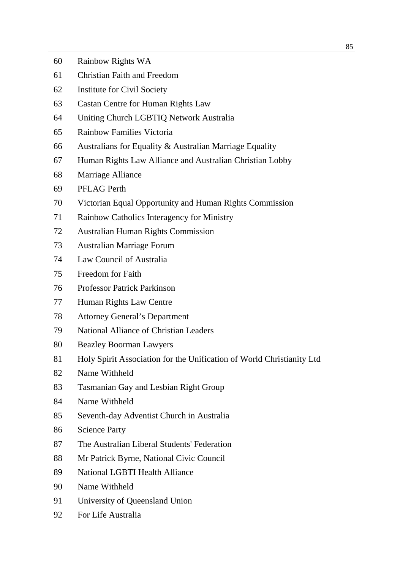| 60 | Rainbow Rights WA                                                     |
|----|-----------------------------------------------------------------------|
| 61 | <b>Christian Faith and Freedom</b>                                    |
| 62 | <b>Institute for Civil Society</b>                                    |
| 63 | Castan Centre for Human Rights Law                                    |
| 64 | Uniting Church LGBTIQ Network Australia                               |
| 65 | <b>Rainbow Families Victoria</b>                                      |
| 66 | Australians for Equality & Australian Marriage Equality               |
| 67 | Human Rights Law Alliance and Australian Christian Lobby              |
| 68 | Marriage Alliance                                                     |
| 69 | <b>PFLAG Perth</b>                                                    |
| 70 | Victorian Equal Opportunity and Human Rights Commission               |
| 71 | Rainbow Catholics Interagency for Ministry                            |
| 72 | <b>Australian Human Rights Commission</b>                             |
| 73 | Australian Marriage Forum                                             |
| 74 | Law Council of Australia                                              |
| 75 | Freedom for Faith                                                     |
| 76 | <b>Professor Patrick Parkinson</b>                                    |
| 77 | Human Rights Law Centre                                               |
| 78 | <b>Attorney General's Department</b>                                  |
| 79 | <b>National Alliance of Christian Leaders</b>                         |
| 80 | <b>Beazley Boorman Lawyers</b>                                        |
| 81 | Holy Spirit Association for the Unification of World Christianity Ltd |
| 82 | Name Withheld                                                         |
| 83 | <b>Tasmanian Gay and Lesbian Right Group</b>                          |
| 84 | Name Withheld                                                         |
| 85 | Seventh-day Adventist Church in Australia                             |
| 86 | <b>Science Party</b>                                                  |
| 87 | The Australian Liberal Students' Federation                           |
| 88 | Mr Patrick Byrne, National Civic Council                              |
| 89 | <b>National LGBTI Health Alliance</b>                                 |
| 90 | Name Withheld                                                         |
| 91 | University of Queensland Union                                        |
| 92 | For Life Australia                                                    |
|    |                                                                       |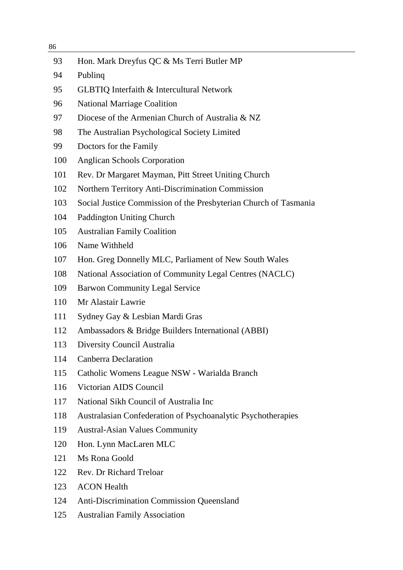| 93  | Hon. Mark Dreyfus QC & Ms Terri Butler MP                        |
|-----|------------------------------------------------------------------|
| 94  | Publing                                                          |
| 95  | <b>GLBTIQ Interfaith &amp; Intercultural Network</b>             |
| 96  | <b>National Marriage Coalition</b>                               |
| 97  | Diocese of the Armenian Church of Australia & NZ                 |
| 98  | The Australian Psychological Society Limited                     |
| 99  | Doctors for the Family                                           |
| 100 | <b>Anglican Schools Corporation</b>                              |
| 101 | Rev. Dr Margaret Mayman, Pitt Street Uniting Church              |
| 102 | Northern Territory Anti-Discrimination Commission                |
| 103 | Social Justice Commission of the Presbyterian Church of Tasmania |
| 104 | <b>Paddington Uniting Church</b>                                 |
| 105 | <b>Australian Family Coalition</b>                               |
| 106 | Name Withheld                                                    |
| 107 | Hon. Greg Donnelly MLC, Parliament of New South Wales            |
| 108 | National Association of Community Legal Centres (NACLC)          |
| 109 | <b>Barwon Community Legal Service</b>                            |
| 110 | Mr Alastair Lawrie                                               |
| 111 | Sydney Gay & Lesbian Mardi Gras                                  |
| 112 | Ambassadors & Bridge Builders International (ABBI)               |
| 113 | Diversity Council Australia                                      |
| 114 | <b>Canberra Declaration</b>                                      |
| 115 | Catholic Womens League NSW - Warialda Branch                     |
| 116 | Victorian AIDS Council                                           |
| 117 | National Sikh Council of Australia Inc                           |
| 118 | Australasian Confederation of Psychoanalytic Psychotherapies     |
| 119 | <b>Austral-Asian Values Community</b>                            |
| 120 | Hon. Lynn MacLaren MLC                                           |
| 121 | Ms Rona Goold                                                    |
| 122 | Rev. Dr Richard Treloar                                          |
| 123 | <b>ACON Health</b>                                               |
| 124 | <b>Anti-Discrimination Commission Queensland</b>                 |
| 125 | <b>Australian Family Association</b>                             |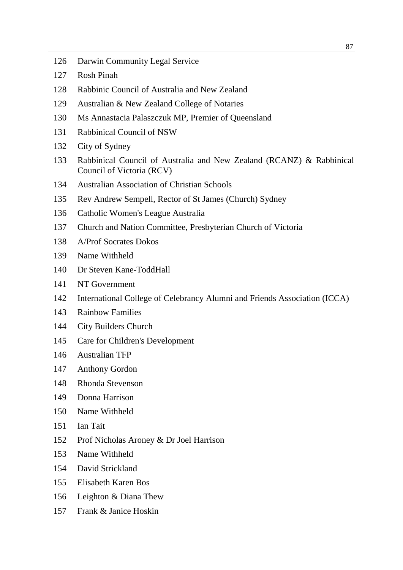- Darwin Community Legal Service
- Rosh Pinah
- Rabbinic Council of Australia and New Zealand
- Australian & New Zealand College of Notaries
- Ms Annastacia Palaszczuk MP, Premier of Queensland
- Rabbinical Council of NSW
- City of Sydney
- Rabbinical Council of Australia and New Zealand (RCANZ) & Rabbinical Council of Victoria (RCV)
- Australian Association of Christian Schools
- Rev Andrew Sempell, Rector of St James (Church) Sydney
- Catholic Women's League Australia
- Church and Nation Committee, Presbyterian Church of Victoria
- A/Prof Socrates Dokos
- Name Withheld
- Dr Steven Kane-ToddHall
- NT Government
- International College of Celebrancy Alumni and Friends Association (ICCA)
- Rainbow Families
- City Builders Church
- Care for Children's Development
- Australian TFP
- Anthony Gordon
- Rhonda Stevenson
- Donna Harrison
- Name Withheld
- Ian Tait
- Prof Nicholas Aroney & Dr Joel Harrison
- Name Withheld
- David Strickland
- Elisabeth Karen Bos
- Leighton & Diana Thew
- Frank & Janice Hoskin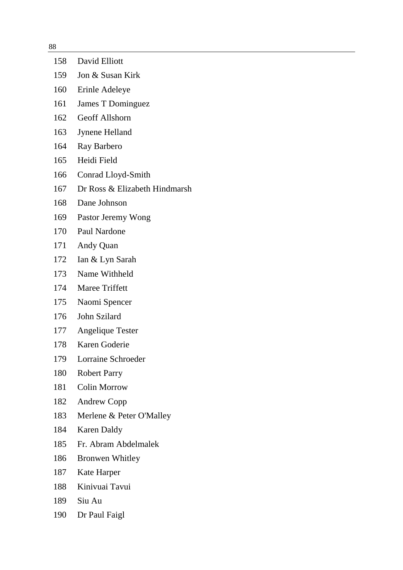| 158 | David Elliott                 |
|-----|-------------------------------|
| 159 | Jon & Susan Kirk              |
| 160 | Erinle Adeleye                |
| 161 | James T Dominguez             |
| 162 | Geoff Allshorn                |
| 163 | Jynene Helland                |
| 164 | Ray Barbero                   |
| 165 | Heidi Field                   |
| 166 | Conrad Lloyd-Smith            |
| 167 | Dr Ross & Elizabeth Hindmarsh |
| 168 | Dane Johnson                  |
| 169 | Pastor Jeremy Wong            |
| 170 | Paul Nardone                  |
| 171 | Andy Quan                     |
| 172 | Ian & Lyn Sarah               |
| 173 | Name Withheld                 |
| 174 | Maree Triffett                |
| 175 | Naomi Spencer                 |
| 176 | John Szilard                  |
| 177 | Angelique Tester              |
| 178 | Karen Goderie                 |
| 179 | Lorraine Schroeder            |
| 180 | <b>Robert Parry</b>           |
| 181 | <b>Colin Morrow</b>           |
| 182 | <b>Andrew Copp</b>            |
| 183 | Merlene & Peter O'Malley      |
| 184 | <b>Karen Daldy</b>            |
| 185 | Fr. Abram Abdelmalek          |
| 186 | <b>Bronwen Whitley</b>        |
| 187 | Kate Harper                   |
| 188 | Kinivuai Tavui                |
| 189 | Siu Au                        |
|     |                               |

Dr Paul Faigl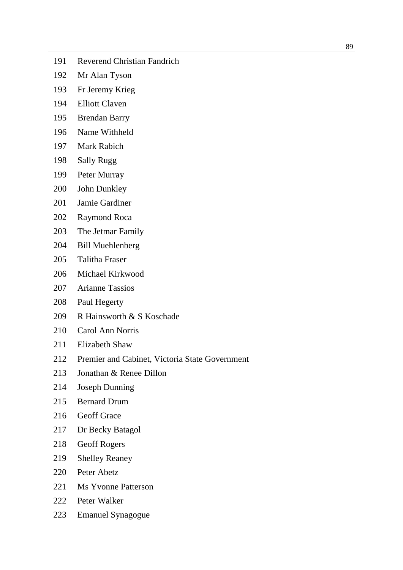- Reverend Christian Fandrich
- Mr Alan Tyson
- Fr Jeremy Krieg
- Elliott Claven
- Brendan Barry
- Name Withheld
- Mark Rabich
- Sally Rugg
- Peter Murray
- John Dunkley
- Jamie Gardiner
- Raymond Roca
- The Jetmar Family
- Bill Muehlenberg
- Talitha Fraser
- Michael Kirkwood
- Arianne Tassios
- Paul Hegerty
- R Hainsworth & S Koschade
- Carol Ann Norris
- Elizabeth Shaw
- Premier and Cabinet, Victoria State Government
- Jonathan & Renee Dillon
- Joseph Dunning
- Bernard Drum
- Geoff Grace
- Dr Becky Batagol
- Geoff Rogers
- Shelley Reaney
- Peter Abetz
- 221 Ms Yvonne Patterson
- Peter Walker
- Emanuel Synagogue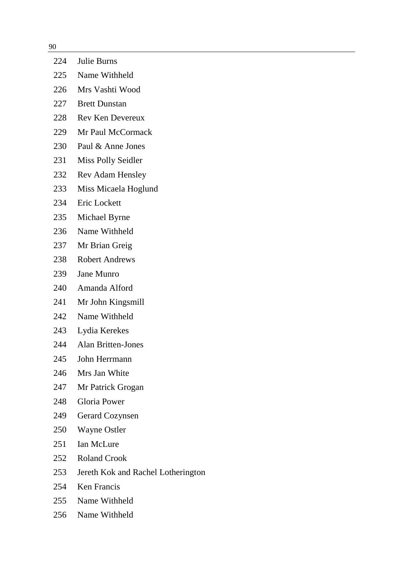| 224 | Julie Burns                        |
|-----|------------------------------------|
| 225 | Name Withheld                      |
| 226 | Mrs Vashti Wood                    |
| 227 | <b>Brett Dunstan</b>               |
| 228 | <b>Rev Ken Devereux</b>            |
| 229 | Mr Paul McCormack                  |
| 230 | Paul & Anne Jones                  |
| 231 | Miss Polly Seidler                 |
| 232 | <b>Rev Adam Hensley</b>            |
| 233 | Miss Micaela Hoglund               |
| 234 | Eric Lockett                       |
| 235 | Michael Byrne                      |
| 236 | Name Withheld                      |
| 237 | Mr Brian Greig                     |
| 238 | <b>Robert Andrews</b>              |
| 239 | <b>Jane Munro</b>                  |
| 240 | Amanda Alford                      |
| 241 | Mr John Kingsmill                  |
| 242 | Name Withheld                      |
| 243 | Lydia Kerekes                      |
| 244 | <b>Alan Britten-Jones</b>          |
| 245 | John Herrmann                      |
| 246 | Mrs Jan White                      |
| 247 | Mr Patrick Grogan                  |
| 248 | Gloria Power                       |
| 249 | <b>Gerard Cozynsen</b>             |
| 250 | <b>Wayne Ostler</b>                |
| 251 | Ian McLure                         |
| 252 | <b>Roland Crook</b>                |
| 253 | Jereth Kok and Rachel Lotherington |
| 254 | Ken Francis                        |
| 255 | Name Withheld                      |

Name Withheld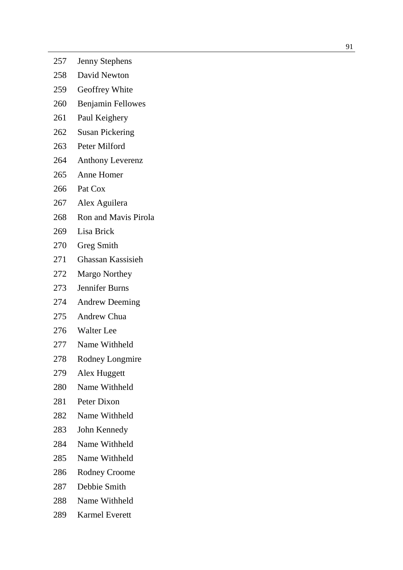- Jenny Stephens
- David Newton
- Geoffrey White
- Benjamin Fellowes
- Paul Keighery
- Susan Pickering
- Peter Milford
- Anthony Leverenz
- Anne Homer
- Pat Cox
- Alex Aguilera
- Ron and Mavis Pirola
- Lisa Brick
- Greg Smith
- Ghassan Kassisieh
- Margo Northey
- Jennifer Burns
- Andrew Deeming
- Andrew Chua
- Walter Lee
- Name Withheld
- Rodney Longmire
- Alex Huggett
- Name Withheld
- Peter Dixon
- Name Withheld
- John Kennedy
- Name Withheld
- Name Withheld
- Rodney Croome
- Debbie Smith
- Name Withheld
- Karmel Everett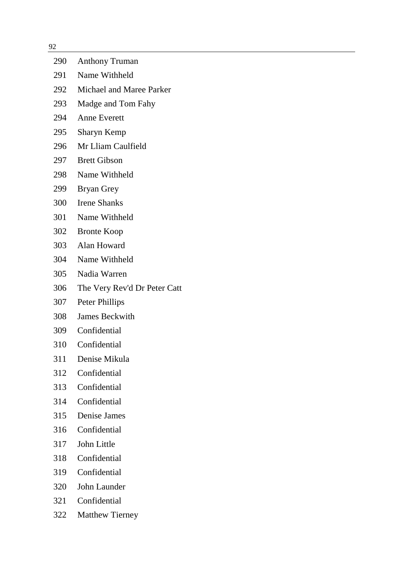| 92  |                              |
|-----|------------------------------|
| 290 | <b>Anthony Truman</b>        |
| 291 | Name Withheld                |
| 292 | Michael and Maree Parker     |
| 293 | Madge and Tom Fahy           |
| 294 | <b>Anne Everett</b>          |
| 295 | Sharyn Kemp                  |
| 296 | Mr Lliam Caulfield           |
| 297 | <b>Brett Gibson</b>          |
| 298 | Name Withheld                |
| 299 | Bryan Grey                   |
| 300 | <b>Irene Shanks</b>          |
| 301 | Name Withheld                |
| 302 | <b>Bronte Koop</b>           |
| 303 | Alan Howard                  |
| 304 | Name Withheld                |
| 305 | Nadia Warren                 |
| 306 | The Very Rev'd Dr Peter Catt |
| 307 | Peter Phillips               |
| 308 | <b>James Beckwith</b>        |
| 309 | Confidential                 |
| 310 | Confidential                 |
| 311 | Denise Mikula                |
| 312 | Confidential                 |
| 313 | Confidential                 |
| 314 | Confidential                 |
| 315 | Denise James                 |
| 316 | Confidential                 |
| 317 | John Little                  |
| 318 | Confidential                 |
| 319 | Confidential                 |
| 320 | John Launder                 |
| 321 | Confidential                 |
| 322 | <b>Matthew Tierney</b>       |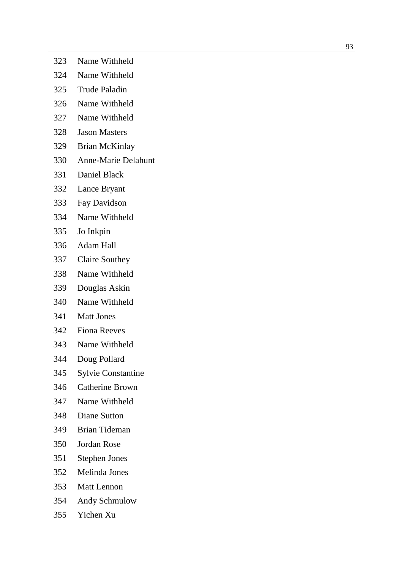- Name Withheld
- Name Withheld
- Trude Paladin
- Name Withheld
- Name Withheld
- Jason Masters
- Brian McKinlay
- Anne -Marie Delahunt
- Daniel Black
- Lance Bryant
- Fay Davidson
- Name Withheld
- Jo Inkpin
- Adam Hall
- Claire Southey
- Name Withheld
- Douglas Askin
- Name Withheld
- Matt Jones
- Fiona Reeves
- Name Withheld
- Doug Pollard
- Sylvie Constantine
- Catherine Brown
- Name Withheld
- Diane Sutton
- Brian Tideman
- Jordan Rose
- Stephen Jones
- Melinda Jones
- Matt Lennon
- Andy Schmulow
- Yichen Xu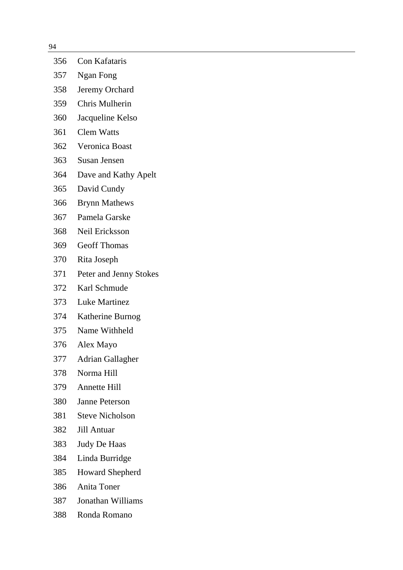- Con Kafataris Ngan Fong Jeremy Orchard Chris Mulherin Jacqueline Kelso Clem Watts Veronica Boast Susan Jensen Dave and Kathy Apelt David Cundy Brynn Mathews Pamela Garske Neil Ericksson Geoff Thomas Rita Joseph Peter and Jenny Stokes Karl Schmude Luke Martinez Katherine Burnog Name Withheld Alex Mayo Adrian Gallagher Norma Hill Annette Hill Janne Peterson Steve Nicholson Jill Antuar Judy De Haas Linda Burridge Howard Shepherd Anita Toner
- Jonathan Williams
- Ronda Romano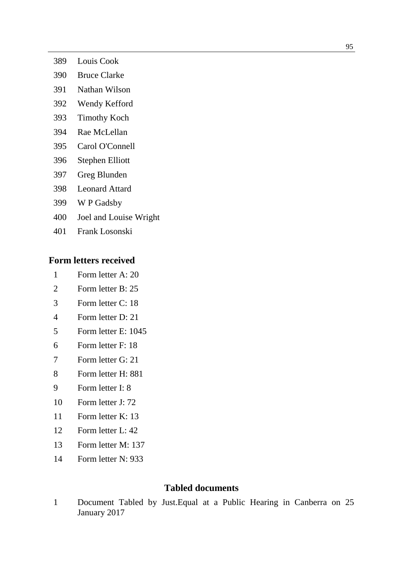- Louis Cook
- Bruce Clarke
- Nathan Wilson
- Wendy Kefford
- Timothy Koch
- Rae McLellan
- Carol O'Connell
- Stephen Elliott
- Greg Blunden
- Leonard Attard
- W P Gadsby
- Joel and Louise Wright
- Frank Losonski

### **Form letters received**

- Form letter A: 20
- Form letter B: 25
- Form letter C: 18
- Form letter D: 21
- Form letter E: 1045
- Form letter F: 18
- Form letter G: 21
- Form letter H: 881
- Form letter I: 8
- Form letter J: 72
- Form letter K: 13
- Form letter L: 42
- Form letter M: 137
- Form letter N: 933

## **Tabled documents**

 Document Tabled by Just.Equal at a Public Hearing in Canberra on 25 January 2017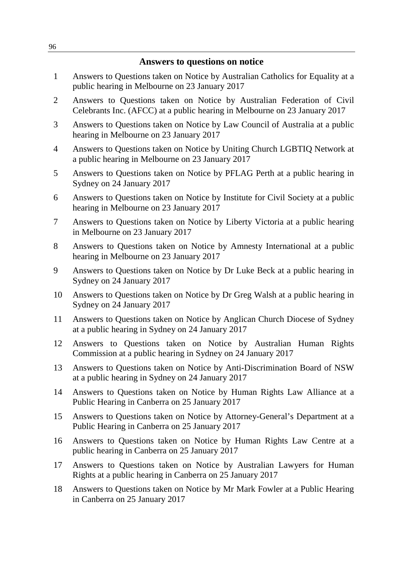#### **Answers to questions on notice**

- 1 Answers to Questions taken on Notice by Australian Catholics for Equality at a public hearing in Melbourne on 23 January 2017
- 2 Answers to Questions taken on Notice by Australian Federation of Civil Celebrants Inc. (AFCC) at a public hearing in Melbourne on 23 January 2017
- 3 Answers to Questions taken on Notice by Law Council of Australia at a public hearing in Melbourne on 23 January 2017
- 4 Answers to Questions taken on Notice by Uniting Church LGBTIQ Network at a public hearing in Melbourne on 23 January 2017
- 5 Answers to Questions taken on Notice by PFLAG Perth at a public hearing in Sydney on 24 January 2017
- 6 Answers to Questions taken on Notice by Institute for Civil Society at a public hearing in Melbourne on 23 January 2017
- 7 Answers to Questions taken on Notice by Liberty Victoria at a public hearing in Melbourne on 23 January 2017
- 8 Answers to Questions taken on Notice by Amnesty International at a public hearing in Melbourne on 23 January 2017
- 9 Answers to Questions taken on Notice by Dr Luke Beck at a public hearing in Sydney on 24 January 2017
- 10 Answers to Questions taken on Notice by Dr Greg Walsh at a public hearing in Sydney on 24 January 2017
- 11 Answers to Questions taken on Notice by Anglican Church Diocese of Sydney at a public hearing in Sydney on 24 January 2017
- 12 Answers to Questions taken on Notice by Australian Human Rights Commission at a public hearing in Sydney on 24 January 2017
- 13 Answers to Questions taken on Notice by Anti-Discrimination Board of NSW at a public hearing in Sydney on 24 January 2017
- 14 Answers to Questions taken on Notice by Human Rights Law Alliance at a Public Hearing in Canberra on 25 January 2017
- 15 Answers to Questions taken on Notice by Attorney-General's Department at a Public Hearing in Canberra on 25 January 2017
- 16 Answers to Questions taken on Notice by Human Rights Law Centre at a public hearing in Canberra on 25 January 2017
- 17 Answers to Questions taken on Notice by Australian Lawyers for Human Rights at a public hearing in Canberra on 25 January 2017
- 18 Answers to Questions taken on Notice by Mr Mark Fowler at a Public Hearing in Canberra on 25 January 2017